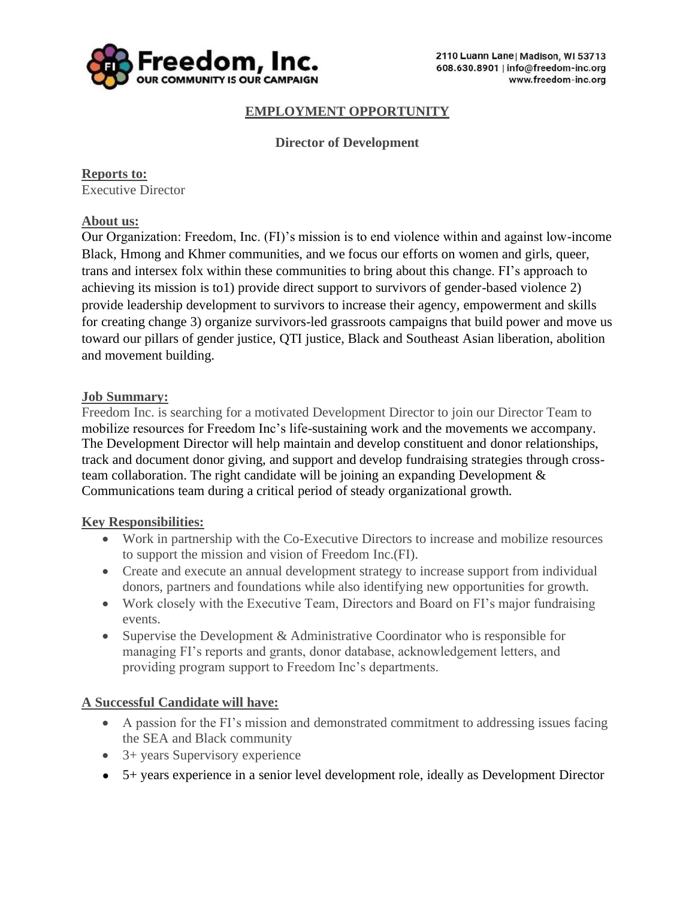

### **EMPLOYMENT OPPORTUNITY**

### **Director of Development**

**Reports to:** Executive Director

#### **About us:**

Our Organization: Freedom, Inc. (FI)'s mission is to end violence within and against low-income Black, Hmong and Khmer communities, and we focus our efforts on women and girls, queer, trans and intersex folx within these communities to bring about this change. FI's approach to achieving its mission is to1) provide direct support to survivors of gender-based violence 2) provide leadership development to survivors to increase their agency, empowerment and skills for creating change 3) organize survivors-led grassroots campaigns that build power and move us toward our pillars of gender justice, QTI justice, Black and Southeast Asian liberation, abolition and movement building.

#### **Job Summary:**

Freedom Inc. is searching for a motivated Development Director to join our Director Team to mobilize resources for Freedom Inc's life-sustaining work and the movements we accompany. The Development Director will help maintain and develop constituent and donor relationships, track and document donor giving, and support and develop fundraising strategies through crossteam collaboration. The right candidate will be joining an expanding Development & Communications team during a critical period of steady organizational growth.

#### **Key Responsibilities:**

- Work in partnership with the Co-Executive Directors to increase and mobilize resources to support the mission and vision of Freedom Inc.(FI).
- Create and execute an annual development strategy to increase support from individual donors, partners and foundations while also identifying new opportunities for growth.
- Work closely with the Executive Team, Directors and Board on FI's major fundraising events.
- Supervise the Development & Administrative Coordinator who is responsible for managing FI's reports and grants, donor database, acknowledgement letters, and providing program support to Freedom Inc's departments.

# **A Successful Candidate will have:**

- A passion for the FI's mission and demonstrated commitment to addressing issues facing the SEA and Black community
- 3+ years Supervisory experience
- 5+ years experience in a senior level development role, ideally as Development Director